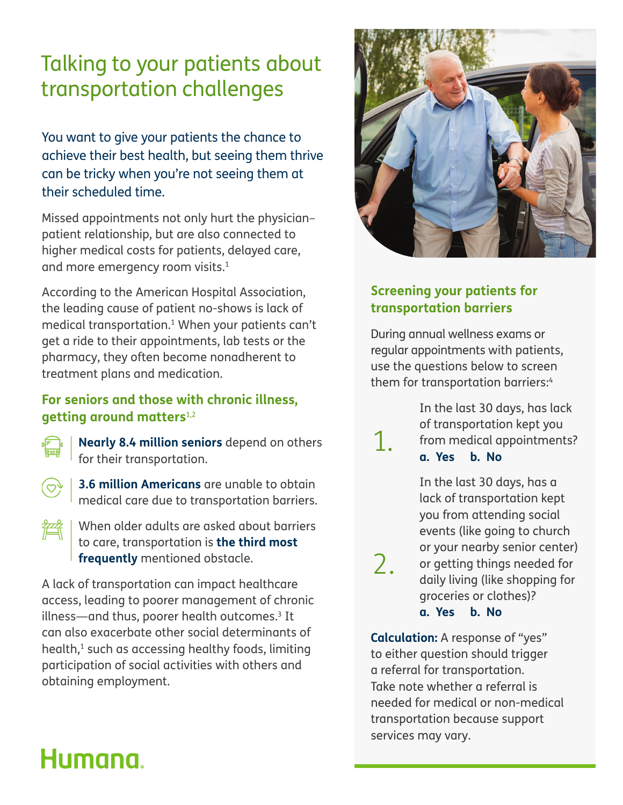### Talking to your patients about transportation challenges

You want to give your patients the chance to achieve their best health, but seeing them thrive can be tricky when you're not seeing them at their scheduled time.

Missed appointments not only hurt the physician– patient relationship, but are also connected to higher medical costs for patients, delayed care, and more emergency room visits.<sup>1</sup>

According to the American Hospital Association, the leading cause of patient no-shows is lack of medical transportation.1 When your patients can't get a ride to their appointments, lab tests or the pharmacy, they often become nonadherent to treatment plans and medication.

#### **For seniors and those with chronic illness, getting around matters**1,2

 **Nearly 8.4 million seniors** depend on others for their transportation.



 **3.6 million Americans** are unable to obtain medical care due to transportation barriers.

 When older adults are asked about barriers to care, transportation is **the third most frequently** mentioned obstacle.

A lack of transportation can impact healthcare access, leading to poorer management of chronic illness—and thus, poorer health outcomes.3 It can also exacerbate other social determinants of health,1 such as accessing healthy foods, limiting participation of social activities with others and obtaining employment.



#### **Screening your patients for transportation barriers**

During annual wellness exams or regular appointments with patients, use the questions below to screen them for transportation barriers:<sup>4</sup>

1.

2.

 In the last 30 days, has lack of transportation kept you from medical appointments? **a. Yes b. No**

 In the last 30 days, has a lack of transportation kept you from attending social events (like going to church or your nearby senior center) or getting things needed for daily living (like shopping for groceries or clothes)? **a. Yes b. No**

**Calculation:** A response of "yes" to either question should trigger a referral for transportation. Take note whether a referral is needed for medical or non-medical transportation because support services may vary.

# Humana.